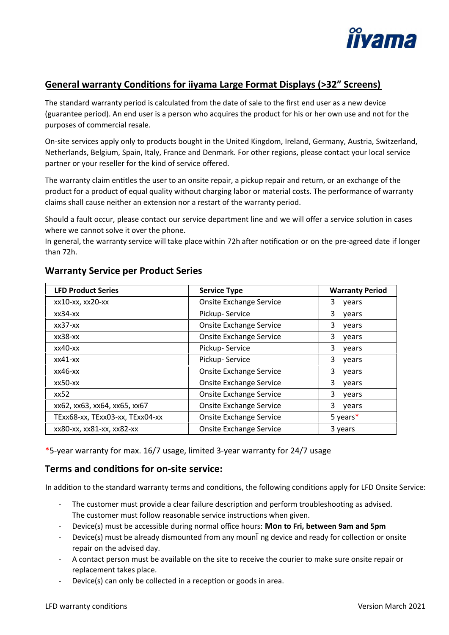

# General warranty Conditions for iiyama Large Format Displays (>32" Screens)

The standard warranty period is calculated from the date of sale to the first end user as a new device (guarantee period). An end user is a person who acquires the product for his or her own use and not for the purposes of commercial resale.

On-site services apply only to products bought in the United Kingdom, Ireland, Germany, Austria, Switzerland, Netherlands, Belgium, Spain, Italy, France and Denmark. For other regions, please contact your local service partner or your reseller for the kind of service offered.

The warranty claim entitles the user to an onsite repair, a pickup repair and return, or an exchange of the product for a product of equal quality without charging labor or material costs. The performance of warranty claims shall cause neither an extension nor a restart of the warranty period.

Should a fault occur, please contact our service department line and we will offer a service solution in cases where we cannot solve it over the phone.

In general, the warranty service will take place within 72h after notification or on the pre-agreed date if longer than 72h.

| <b>LFD Product Series</b>       | <b>Service Type</b>            | <b>Warranty Period</b> |
|---------------------------------|--------------------------------|------------------------|
| xx10-xx, xx20-xx                | <b>Onsite Exchange Service</b> | 3<br>years             |
| $xx34-xx$                       | Pickup-Service                 | 3<br>years             |
| $xx37-xx$                       | <b>Onsite Exchange Service</b> | 3<br>years             |
| $xx38-xx$                       | <b>Onsite Exchange Service</b> | 3<br>years             |
| $xx40$ - $xx$                   | Pickup-Service                 | 3<br>vears             |
| $x \times 41 - x \times$        | Pickup-Service                 | 3<br>years             |
| $x \times 46 - x \times$        | <b>Onsite Exchange Service</b> | 3<br>years             |
| xx50-xx                         | <b>Onsite Exchange Service</b> | 3<br>vears             |
| xx52                            | <b>Onsite Exchange Service</b> | 3<br>vears             |
| xx62, xx63, xx64, xx65, xx67    | <b>Onsite Exchange Service</b> | 3<br>years             |
| TExx68-xx, TExx03-xx, TExx04-xx | <b>Onsite Exchange Service</b> | 5 years $*$            |
| xx80-xx, xx81-xx, xx82-xx       | <b>Onsite Exchange Service</b> | 3 years                |

## **Warranty Service per Product Series**

\*5-year warranty for max. 16/7 usage, limited 3-year warranty for 24/7 usage

### **Terms and condi�ons for on-site service:**

In addition to the standard warranty terms and conditions, the following conditions apply for LFD Onsite Service:

- The customer must provide a clear failure description and perform troubleshooting as advised. The customer must follow reasonable service instructions when given.
- Device(s) must be accessible during normal office hours: **Mon to Fri, between 9am and 5pm**
- Device(s) must be already dismounted from any mounĨ ng device and ready for collection or onsite repair on the advised day.
- A contact person must be available on the site to receive the courier to make sure onsite repair or replacement takes place.
- Device(s) can only be collected in a reception or goods in area.